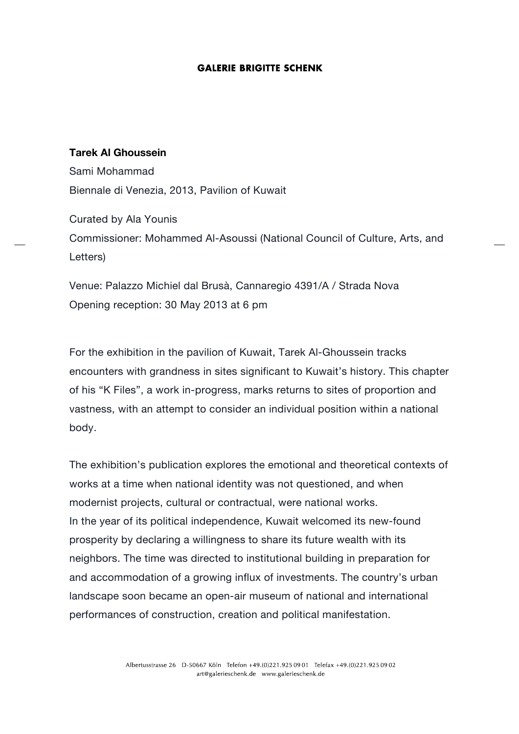## **GALERIE BRIGITTE SCHENK**

## **Tarek Al Ghoussein**

Sami Mohammad Biennale di Venezia, 2013, Pavilion of Kuwait

Curated by Ala Younis Commissioner: Mohammed Al-Asoussi (National Council of Culture, Arts, and Letters)

Venue: Palazzo Michiel dal Brusà, Cannaregio 4391/A / Strada Nova Opening reception: 30 May 2013 at 6 pm

For the exhibition in the pavilion of Kuwait, Tarek Al-Ghoussein tracks encounters with grandness in sites significant to Kuwait's history. This chapter of his "K Files", a work in-progress, marks returns to sites of proportion and vastness, with an attempt to consider an individual position within a national body.

The exhibition's publication explores the emotional and theoretical contexts of works at a time when national identity was not questioned, and when modernist projects, cultural or contractual, were national works. In the year of its political independence, Kuwait welcomed its new-found prosperity by declaring a willingness to share its future wealth with its neighbors. The time was directed to institutional building in preparation for and accommodation of a growing influx of investments. The country's urban landscape soon became an open-air museum of national and international performances of construction, creation and political manifestation.